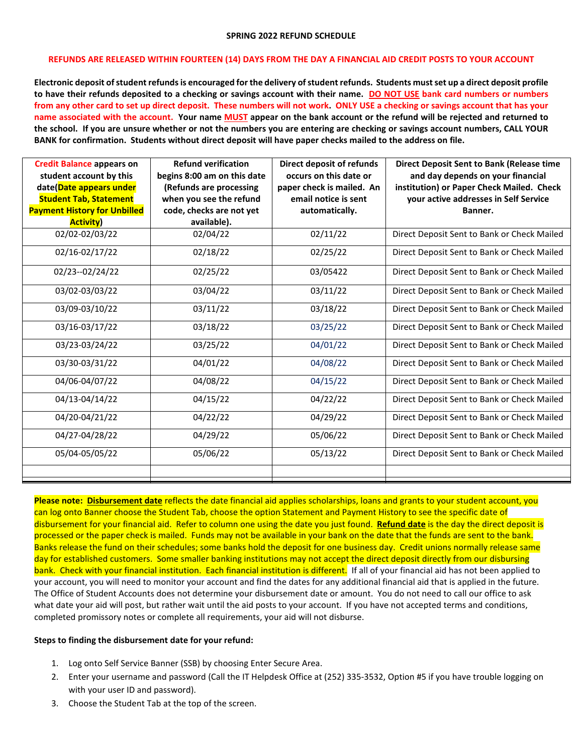## **SPRING 2022 REFUND SCHEDULE**

## **REFUNDS ARE RELEASED WITHIN FOURTEEN (14) DAYS FROM THE DAY A FINANCIAL AID CREDIT POSTS TO YOUR ACCOUNT**

**Electronic deposit of student refunds is encouraged for the delivery ofstudent refunds. Students must set up a direct deposit profile to have their refunds deposited to a checking or savings account with their name. DO NOT USE bank card numbers or numbers from any other card to set up direct deposit. These numbers will not work. ONLY USE a checking or savings account that has your name associated with the account. Your name MUST appear on the bank account or the refund will be rejected and returned to the school. If you are unsure whether or not the numbers you are entering are checking or savings account numbers, CALL YOUR BANK for confirmation. Students without direct deposit will have paper checks mailed to the address on file.** 

| <b>Credit Balance appears on</b><br>student account by this<br>date(Date appears under<br><b>Student Tab, Statement</b><br><b>Payment History for Unbilled</b> | <b>Refund verification</b><br>begins 8:00 am on this date<br>(Refunds are processing<br>when you see the refund<br>code, checks are not yet | <b>Direct deposit of refunds</b><br>occurs on this date or<br>paper check is mailed. An<br>email notice is sent<br>automatically. | <b>Direct Deposit Sent to Bank (Release time</b><br>and day depends on your financial<br>institution) or Paper Check Mailed. Check<br>your active addresses in Self Service<br>Banner. |
|----------------------------------------------------------------------------------------------------------------------------------------------------------------|---------------------------------------------------------------------------------------------------------------------------------------------|-----------------------------------------------------------------------------------------------------------------------------------|----------------------------------------------------------------------------------------------------------------------------------------------------------------------------------------|
| <b>Activity</b> )<br>02/02-02/03/22                                                                                                                            | available).<br>02/04/22                                                                                                                     | 02/11/22                                                                                                                          | Direct Deposit Sent to Bank or Check Mailed                                                                                                                                            |
| 02/16-02/17/22                                                                                                                                                 | 02/18/22                                                                                                                                    | 02/25/22                                                                                                                          | Direct Deposit Sent to Bank or Check Mailed                                                                                                                                            |
| 02/23--02/24/22                                                                                                                                                | 02/25/22                                                                                                                                    | 03/05422                                                                                                                          | Direct Deposit Sent to Bank or Check Mailed                                                                                                                                            |
| 03/02-03/03/22                                                                                                                                                 | 03/04/22                                                                                                                                    | 03/11/22                                                                                                                          | Direct Deposit Sent to Bank or Check Mailed                                                                                                                                            |
| 03/09-03/10/22                                                                                                                                                 | 03/11/22                                                                                                                                    | 03/18/22                                                                                                                          | Direct Deposit Sent to Bank or Check Mailed                                                                                                                                            |
| 03/16-03/17/22                                                                                                                                                 | 03/18/22                                                                                                                                    | 03/25/22                                                                                                                          | Direct Deposit Sent to Bank or Check Mailed                                                                                                                                            |
| 03/23-03/24/22                                                                                                                                                 | 03/25/22                                                                                                                                    | 04/01/22                                                                                                                          | Direct Deposit Sent to Bank or Check Mailed                                                                                                                                            |
| 03/30-03/31/22                                                                                                                                                 | 04/01/22                                                                                                                                    | 04/08/22                                                                                                                          | Direct Deposit Sent to Bank or Check Mailed                                                                                                                                            |
| 04/06-04/07/22                                                                                                                                                 | 04/08/22                                                                                                                                    | 04/15/22                                                                                                                          | Direct Deposit Sent to Bank or Check Mailed                                                                                                                                            |
| 04/13-04/14/22                                                                                                                                                 | 04/15/22                                                                                                                                    | 04/22/22                                                                                                                          | Direct Deposit Sent to Bank or Check Mailed                                                                                                                                            |
| 04/20-04/21/22                                                                                                                                                 | 04/22/22                                                                                                                                    | 04/29/22                                                                                                                          | Direct Deposit Sent to Bank or Check Mailed                                                                                                                                            |
| 04/27-04/28/22                                                                                                                                                 | 04/29/22                                                                                                                                    | 05/06/22                                                                                                                          | Direct Deposit Sent to Bank or Check Mailed                                                                                                                                            |
| 05/04-05/05/22                                                                                                                                                 | 05/06/22                                                                                                                                    | 05/13/22                                                                                                                          | Direct Deposit Sent to Bank or Check Mailed                                                                                                                                            |
|                                                                                                                                                                |                                                                                                                                             |                                                                                                                                   |                                                                                                                                                                                        |

**Please note: Disbursement date** reflects the date financial aid applies scholarships, loans and grants to your student account, you can log onto Banner choose the Student Tab, choose the option Statement and Payment History to see the specific date of disbursement for your financial aid. Refer to column one using the date you just found. **Refund date** is the day the direct deposit is processed or the paper check is mailed. Funds may not be available in your bank on the date that the funds are sent to the bank. Banks release the fund on their schedules; some banks hold the deposit for one business day. Credit unions normally release same day for established customers. Some smaller banking institutions may not accept the direct deposit directly from our disbursing bank. Check with your financial institution. Each financial institution is different. If all of your financial aid has not been applied to your account, you will need to monitor your account and find the dates for any additional financial aid that is applied in the future. The Office of Student Accounts does not determine your disbursement date or amount. You do not need to call our office to ask what date your aid will post, but rather wait until the aid posts to your account. If you have not accepted terms and conditions, completed promissory notes or complete all requirements, your aid will not disburse.

## **Steps to finding the disbursement date for your refund:**

- 1. Log onto Self Service Banner (SSB) by choosing Enter Secure Area.
- 2. Enter your username and password (Call the IT Helpdesk Office at (252) 335-3532, Option #5 if you have trouble logging on with your user ID and password).
- 3. Choose the Student Tab at the top of the screen.